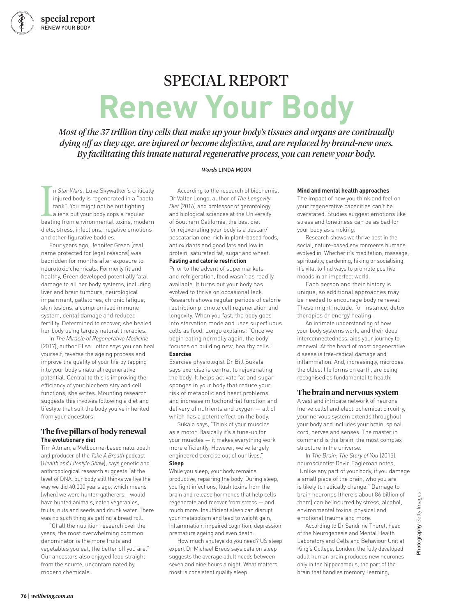## SPECIAL REPORT

## **Renew Your Body**

*Most of the 37 trillion tiny cells that make up your body's tissues and organs are continually dying off as they age, are injured or become defective, and are replaced by brand-new ones. By facilitating this innate natural regenerative process, you can renew your body.*

#### *Words* LINDA MOON

n *Star Wars*, Luke Skywalker's critically<br>injured body is regenerated in a "bacta<br>tank". You might not be out fighting<br>aliens but your body cops a regular<br>beating from environmental toxins, modern n *Star Wars*, Luke Skywalker's critically injured body is regenerated in a "bacta tank". You might not be out fighting aliens but your body cops a regular diets, stress, infections, negative emotions and other figurative baddies.

Four years ago, Jennifer Green (real name protected for legal reasons) was bedridden for months after exposure to neurotoxic chemicals. Formerly fit and healthy, Green developed potentially fatal damage to all her body systems, including liver and brain tumours, neurological impairment, gallstones, chronic fatigue, skin lesions, a compromised immune system, dental damage and reduced fertility. Determined to recover, she healed her body using largely natural therapies.

In *The Miracle of Regenerative Medicine* (2017), author Elisa Lottor says you can heal yourself, reverse the ageing process and improve the quality of your life by tapping into your body's natural regenerative potential. Central to this is improving the efficiency of your biochemistry and cell functions, she writes. Mounting research suggests this involves following a diet and lifestyle that suit the body you've inherited from your ancestors.

#### **The five pillars of body renewal The evolutionary diet**

Tim Altman, a Melbourne-based naturopath and producer of the *Take A Breath* podcast (*Health and Lifestyle Show*), says genetic and anthropological research suggests "at the level of DNA, our body still thinks we live the way we did 40,000 years ago, which means [when] we were hunter-gatherers. I would have hunted animals, eaten vegetables, fruits, nuts and seeds and drunk water. There was no such thing as getting a bread roll.

"Of all the nutrition research over the years, the most overwhelming common denominator is the more fruits and vegetables you eat, the better off you are." Our ancestors also enjoyed food straight from the source, uncontaminated by modern chemicals.

According to the research of biochemist Dr Valter Longo, author of *The Longevity Diet* (2016) and professor of gerontology and biological sciences at the University of Southern California, the best diet for rejuvenating your body is a pescan/ pescatarian one, rich in plant-based foods, antioxidants and good fats and low in protein, saturated fat, sugar and wheat. **Fasting and calorie restriction**

### Prior to the advent of supermarkets

and refrigeration, food wasn't as readily available. It turns out your body has evolved to thrive on occasional lack. Research shows regular periods of calorie restriction promote cell regeneration and longevity. When you fast, the body goes into starvation mode and uses superfluous cells as food, Longo explains: "Once we begin eating normally again, the body focuses on building new, healthy cells." **Exercise**

Exercise physiologist Dr Bill Sukala says exercise is central to rejuvenating the body. It helps activate fat and sugar sponges in your body that reduce your risk of metabolic and heart problems and increase mitochondrial function and delivery of nutrients and oxygen — all of which has a potent effect on the body.

Sukala says, "Think of your muscles as a motor. Basically it's a tune-up for your muscles — it makes everything work more efficiently. However, we've largely engineered exercise out of our lives."

#### **Sleep**

While you sleep, your body remains productive, repairing the body. During sleep, you fight infections, flush toxins from the brain and release hormones that help cells regenerate and recover from stress — and much more. Insufficient sleep can disrupt your metabolism and lead to weight gain, inflammation, impaired cognition, depression, premature ageing and even death.

How much shuteye do you need? US sleep expert Dr Michael Breus says data on sleep suggests the average adult needs between seven and nine hours a night. What matters most is consistent quality sleep.

#### **Mind and mental health approaches**

The impact of how you think and feel on your regenerative capacities can't be overstated. Studies suggest emotions like stress and loneliness can be as bad for your body as smoking.

Research shows we thrive best in the social, nature-based environments humans evolved in. Whether it's meditation, massage, spirituality, gardening, hiking or socialising, it's vital to find ways to promote positive moods in an imperfect world.

Each person and their history is unique, so additional approaches may be needed to encourage body renewal. These might include, for instance, detox therapies or energy healing.

An intimate understanding of how your body systems work, and their deep interconnectedness, aids your journey to renewal. At the heart of most degenerative disease is free-radical damage and inflammation. And, increasingly, microbes, the oldest life forms on earth, are being recognised as fundamental to health.

#### **The brain and nervous system**

A vast and intricate network of neurons (nerve cells) and electrochemical circuitry, your nervous system extends throughout your body and includes your brain, spinal cord, nerves and senses. The master in command is the brain, the most complex structure in the universe.

In *The Brain: The Story of You* (2015), neuroscientist David Eagleman notes, "Unlike any part of your body, if you damage a small piece of the brain, who you are is likely to radically change." Damage to brain neurones (there's about 86 billion of them) can be incurred by stress, alcohol, environmental toxins, physical and emotional trauma and more.

According to Dr Sandrine Thuret, head of the Neurogenesis and Mental Health Laboratory and Cells and Behaviour Unit at King's College, London, the fully developed adult human brain produces new neurones only in the hippocampus, the part of the brain that handles memory, learning,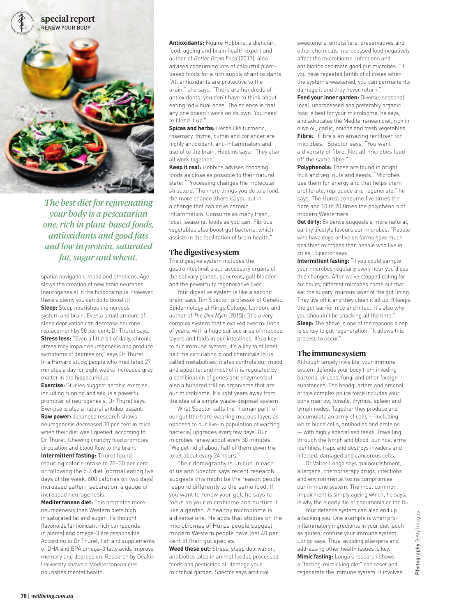

*The best diet for rejuvenating your body is a pescatarian one, rich in plant-based foods, antioxidants and good fats and low in protein, saturated fat, sugar and wheat.*

spatial navigation, mood and emotions. Age slows the creation of new brain neurones (neurogenesis) in the hippocampus. However, there's plenty you can do to boost it! **Sleep:** Sleep nourishes the nervous system and brain. Even a small amount of sleep deprivation can decrease neurone replacement by 50 per cent, Dr Thuret says. **Stress less:** "Even a little bit of daily, chronic stress may impair neurogenesis and produce symptoms of depression," says Dr Thuret. In a Harvard study, people who meditated 27 minutes a day for eight weeks increased grey matter in the hippocampus.

**Exercise:** Studies suggest aerobic exercise, including running and sex, is a powerful promoter of neurogenesis, Dr Thuret says. Exercise is also a natural antidepressant.

**Raw power:** Japanese research shows neurogenesis decreased 30 per cent in mice when their diet was liquefied, according to Dr Thuret. Chewing crunchy food promotes circulation and blood flow to the brain.

**Intermittent fasting:** Thuret found reducing calorie intake to 20–30 per cent or following the 5:2 diet (normal eating five days of the week, 600 calories on two days) increased pattern separation, a gauge of increased neurogenesis.

**Mediterranean diet:** This promotes more neurogenesis than Western diets high in saturated fat and sugar. It's thought flavonoids (antioxidant-rich compounds in plants) and omega-3 are responsible. According to Dr Thuret, fish and supplements of DHA and EPA omega-3 fatty acids improve memory and depression. Research by Deakin University shows a Mediterranean diet nourishes mental health.

**Antioxidants:** Ngaire Hobbins, a dietician, food, ageing and brain health expert and author of *Better Brain Food* (2017), also advises consuming lots of colourful plantbased foods for a rich supply of antioxidants. "All antioxidants are protective to the brain," she says. "There are hundreds of antioxidants; you don't have to think about eating individual ones. The science is that any one doesn't work on its own. You need to blend it up."

**Spices and herbs:** Herbs like turmeric. rosemary, thyme, cumin and coriander are highly antioxidant, anti-inflammatory and useful to the brain, Hobbins says: "They also all work together."

**Keep it real:** Hobbins advises choosing foods as close as possible to their natural state: "Processing changes the molecular structure. The more things you do to a food, the more chance [there is] you put in a change that can drive chronic inflammation. Consume as many fresh, local, seasonal foods as you can. Fibrous vegetables also boost gut bacteria, which assists in the facilitation of brain health."

#### **The digestive system**

The digestive system includes the gastrointestinal tract, accessory organs of the salivary glands, pancreas, gall bladder and the powerfully regenerative liver.

Your digestive system is like a second brain, says Tim Spector, professor of Genetic Epidemiology at Kings College, London, and author of *The Diet Myth* (2015): "It's a very complex system that's evolved over millions of years, with a huge surface area of mucous layers and folds in our intestines. It's a key to our immune system; it's a key to at least half the circulating blood chemicals in us called metabolites; it also controls our mood and appetite; and most of it is regulated by a combination of genes and enzymes but also a hundred trillion organisms that are our microbiome. It's light years away from the idea of a simple waste-disposal system."

What Spector calls the "human part" of our gut (the hard-wearing mucous layer, as opposed to our live-in population of warring bacteria) upgrades every few days. Our microbes renew about every 30 minutes: "We get rid of about half of them down the toilet about every 24 hours."

Their demography is unique in each of us and Spector says recent research suggests this might be the reason people respond differently to the same food. If you want to renew your gut, he says to focus on your microbiome and nurture it like a garden. A healthy microbiome is a diverse one. He adds that studies on the microbiomes of Hunza people suggest modern Western people have lost 40 per cent of their gut species.

**Weed these out:** Stress, sleep deprivation, antibiotics (also in animal foods), processed foods and pesticides all damage your microbial garden. Spector says artificial

sweeteners, emulsifiers, preservatives and other chemicals in processed food negatively affect the microbiome. Infections and antibiotics decimate good gut microbes: "If you have repeated [antibiotic] doses when the system's weakened, you can permanently damage it and they never return."

**Feed your inner garden:** Diverse, seasonal, local, unprocessed and preferably organic food is best for your microbiome, he says, and advocates the Mediterranean diet, rich in olive oil, garlic, onions and fresh vegetables. **Fibre:** "Fibre's an amazing fertiliser for microbes," Spector says. "You want a diversity of fibre. Not all microbes feed off the same fibre."

**Polyphenols:** These are found in bright fruit and veg, nuts and seeds. "Microbes use them for energy and that helps them proliferate, reproduce and regenerate," he says. The Hunza consume five times the fibre and 10 to 20 times the polyphenols of modern Westerners.

**Get dirty:** Evidence suggests a more natural, earthy lifestyle favours our microbes. "People who have dogs or live on farms have much healthier microbes than people who live in cities," Spector says.

**Intermittent fasting:** "If you could sample your microbes regularly every hour you'd see this changes. After we've stopped eating for six hours, different microbes come out that eat the sugary, mucous layer of the gut lining. They live off it and they clean it all up. It keeps the gut barrier nice and intact. It's also why you shouldn't be snacking all the time." **Sleep:** The above is one of the reasons sleep

is so key to gut regeneration. "It allows this process to occur."

#### **The immune system**

Although largely invisible, your immune system defends your body from invading bacteria, viruses, fungi and other foreign substances. The headquarters and arsenal of this complex police force includes your bone marrow, tonsils, thymus, spleen and lymph nodes. Together they produce and accumulate an army of cells — including white blood cells, antibodies and proteins — with highly specialised tasks. Travelling through the lymph and blood, our host army identifies, traps and destroys invaders and infected, damaged and cancerous cells.

Dr Valter Longo says malnourishment, allergens, chemotherapy drugs, infections and environmental toxins compromise our immune system. The most common impairment is simply ageing which, he says, is why the elderly die of pneumonia or the flu.

Your defence system can also end up attacking you. One example is when proinflammatory ingredients in your diet (such as gluten) confuse your immune system, Longo says. Thus, avoiding allergens and addressing other health issues is key. **Mimic fasting:** Longo's research shows a "fasting-mimicking diet" can reset and regenerate the immune system. It involves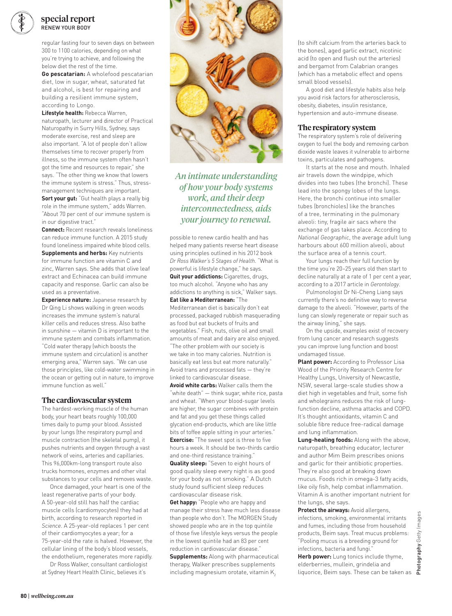

#### special report RENEW YOUR BODY

regular fasting four to seven days on between 300 to 1100 calories, depending on what you're trying to achieve, and following the below diet the rest of the time.

**Go pescatarian:** A wholefood pescatarian diet, low in sugar, wheat, saturated fat and alcohol, is best for repairing and building a resilient immune system, according to Longo.

**Lifestyle health:** Rebecca Warren, naturopath, lecturer and director of Practical Naturopathy in Surry Hills, Sydney, says moderate exercise, rest and sleep are also important. "A lot of people don't allow themselves time to recover properly from illness, so the immune system often hasn't got the time and resources to repair," she says. "The other thing we know that lowers the immune system is stress." Thus, stressmanagement techniques are important.

**Sort your gut:** "Gut health plays a really big role in the immune system," adds Warren. "About 70 per cent of our immune system is in our digestive tract."

**Connect:** Recent research reveals loneliness can reduce immune function. A 2015 study found loneliness impaired white blood cells. **Supplements and herbs: Key nutrients** for immune function are vitamin C and zinc, Warren says. She adds that olive leaf extract and Echinacea can build immune capacity and response. Garlic can also be used as a preventative.

**Experience nature:** Japanese research by Dr Qing Li shows walking in green woods increases the immune system's natural killer cells and reduces stress. Also bathe in sunshine — vitamin D is important to the immune system and combats inflammation. "Cold water therapy (which boosts the immune system and circulation) is another emerging area," Warren says. "We can use those principles, like cold-water swimming in the ocean or getting out in nature, to improve immune function as well."

#### **The cardiovascular system**

The hardest-working muscle of the human body, your heart beats roughly 100,000 times daily to pump your blood. Assisted by your lungs (the respiratory pump) and muscle contraction (the skeletal pump), it pushes nutrients and oxygen through a vast network of veins, arteries and capillaries. This 96,000km-long transport route also trucks hormones, enzymes and other vital substances to your cells and removes waste.

Once damaged, your heart is one of the least regenerative parts of your body. A 50-year-old still has half the cardiac muscle cells (cardiomyocytes) they had at birth, according to research reported in *Science*. A 25-year-old replaces 1 per cent of their cardiomyocytes a year; for a 75-year-old the rate is halved. However, the cellular lining of the body's blood vessels, the endothelium, regenerates more rapidly.

Dr Ross Walker, consultant cardiologist at Sydney Heart Health Clinic, believes it's



*An intimate understanding of how your body systems work, and their deep interconnectedness, aids your journey to renewal.*

possible to renew cardio health and has helped many patients reverse heart disease using principles outlined in his 2012 book *Dr Ross Walker's 5 Stages of Health*. "What is powerful is lifestyle change," he says. **Quit your addictions:** Cigarettes, drugs, too much alcohol. "Anyone who has any addictions to anything is sick," Walker says. **Eat like a Mediterranean:** "The

Mediterranean diet is basically don't eat processed, packaged rubbish masquerading as food but eat buckets of fruits and vegetables." Fish, nuts, olive oil and small amounts of meat and dairy are also enjoyed. "The other problem with our society is we take in too many calories. Nutrition is basically eat less but eat more naturally." Avoid trans and processed fats — they're linked to cardiovascular disease.

**Avoid white carbs:** Walker calls them the "white death" — think sugar, white rice, pasta and wheat. "When your blood-sugar levels are higher, the sugar combines with protein and fat and you get these things called glycation end-products, which are like little bits of toffee apple sitting in your arteries." **Exercise:** "The sweet spot is three to five hours a week. It should be two-thirds cardio

and one-third resistance training." **Quality sleep:** "Seven to eight hours of good quality sleep every night is as good for your body as not smoking." A Dutch study found sufficient sleep reduces cardiovascular disease risk.

**Get happy:** "People who are happy and manage their stress have much less disease than people who don't. The MORGEN Study showed people who are in the top quintile of those five lifestyle keys versus the people in the lowest quintile had an 83 per cent reduction in cardiovascular disease."

**Supplements:** Along with pharmaceutical therapy, Walker prescribes supplements including magnesium orotate, vitamin K<sub>2</sub>

(to shift calcium from the arteries back to the bones), aged garlic extract, nicotinic acid (to open and flush out the arteries) and bergamot from Calabrian oranges (which has a metabolic effect and opens small blood vessels).

A good diet and lifestyle habits also help you avoid risk factors for atherosclerosis, obesity, diabetes, insulin resistance, hypertension and auto-immune disease.

#### **The respiratory system**

The respiratory system's role of delivering oxygen to fuel the body and removing carbon dioxide waste leaves it vulnerable to airborne toxins, particulates and pathogens.

It starts at the nose and mouth. Inhaled air travels down the windpipe, which divides into two tubes (the bronchi). These lead into the spongy lobes of the lungs. Here, the bronchi continue into smaller tubes (bronchioles) like the branches of a tree, terminating in the pulmonary alveoli: tiny, fragile air sacs where the exchange of gas takes place. According to *National Geographic*, the average adult lung harbours about 600 million alveoli, about the surface area of a tennis court.

Your lungs reach their full function by the time you're 20–25 years old then start to decline naturally at a rate of 1 per cent a year, according to a 2017 article in *Gerontology*.

Pulmonologist Dr Ni-Cheng Liang says currently there's no definitive way to reverse damage to the alveoli. "However, parts of the lung can slowly regenerate or repair such as the airway lining," she says.

On the upside, examples exist of recovery from lung cancer and research suggests you can improve lung function and boost undamaged tissue.

**Plant power:** According to Professor Lisa Wood of the Priority Research Centre for Healthy Lungs, University of Newcastle, NSW, several large-scale studies show a diet high in vegetables and fruit, some fish and wholegrains reduces the risk of lungfunction decline, asthma attacks and COPD. It's thought antioxidants, vitamin C and soluble fibre reduce free-radical damage and lung inflammation.

**Lung-healing foods:** Along with the above, naturopath, breathing educator, lecturer and author Mim Beim prescribes onions and garlic for their antibiotic properties. They're also good at breaking down mucus. Foods rich in omega-3 fatty acids, like oily fish, help combat inflammation. Vitamin A is another important nutrient for the lungs, she says.

**Protect the airways: Avoid allergens,** infections, smoking, environmental irritants and fumes, including those from household products, Beim says. Treat mucus problems: "Pooling mucus is a breeding ground for infections, bacteria and fungi."

**Herb power:** Lung tonics include thyme, elderberries, mullein, grindelia and liquorice, Beim says. These can be taken as  $\epsilon$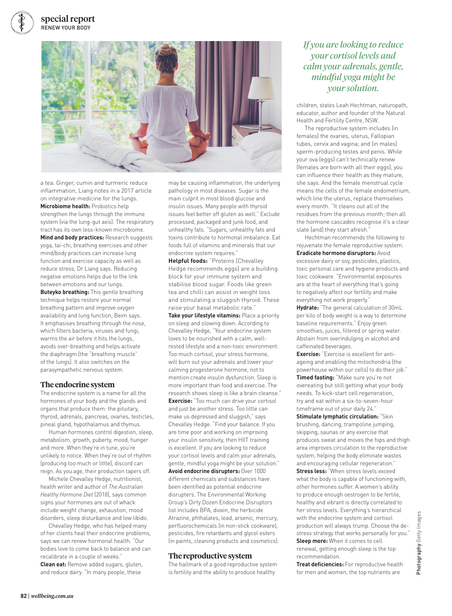#### special report RENEW YOUR BODY



a tea. Ginger, cumin and turmeric reduce inflammation, Liang notes in a 2017 article on integrative medicine for the lungs. **Microbiome health:** Probiotics help strengthen the lungs through the immune system (via the lung-gut axis). The respiratory tract has its own less-known microbiome. **Mind and body practices:** Research suggests yoga, tai-chi, breathing exercises and other mind/body practices can increase lung function and exercise capacity as well as reduce stress, Dr Liang says. Reducing negative emotions helps due to the link between emotions and our lungs. **Buteyko breathing:** This gentle breathing technique helps restore your normal breathing pattern and improve oxygen availability and lung function, Beim says. It emphasises breathing through the nose, which filters bacteria, viruses and fungi, warms the air before it hits the lungs, avoids over-breathing and helps activate the diaphragm (the "breathing muscle" of the lungs). It also switches on the parasympathetic nervous system.

#### **The endocrine system**

The endocrine system is a name for all the hormones of your body and the glands and organs that produce them: the pituitary, thyroid, adrenals, pancreas, ovaries, testicles, pineal gland, hypothalamus and thymus.

Human hormones control digestion, sleep, metabolism, growth, puberty, mood, hunger and more. When they're in tune, you're unlikely to notice. When they're out of rhythm (producing too much or little), discord can reign. As you age, their production tapers off.

Michele Chevalley Hedge, nutritionist, health writer and author of *The Australian Healthy Hormone Diet* (2018), says common signs your hormones are out of whack include weight change, exhaustion, mood disorders, sleep disturbance and low libido.

Chevalley Hedge, who has helped many of her clients heal their endocrine problems, says we can renew hormonal health. "Our bodies love to come back to balance and can recalibrate in a couple of weeks." **Clean eat:** Remove added sugars, gluten, and reduce dairy. "In many people, these

may be causing inflammation, the underlying pathology in most diseases. Sugar is the main culprit in most blood glucose and insulin issues. Many people with thyroid issues feel better off gluten as well." Exclude processed, packaged and junk food, and unhealthy fats. "Sugars, unhealthy fats and toxins contribute to hormonal imbalance. Eat foods full of vitamins and minerals that our endocrine system requires."

**Helpful foods:** "Proteins [Chevalley Hedge recommends eggs] are a building block for your immune system and stabilise blood sugar. Foods like green tea and chilli can assist in weight loss and stimulating a sluggish thyroid. These raise your basal metabolic rate."

**Take your lifestyle vitamins:** Place a priority on sleep and slowing down. According to Chevalley Hedge, "Your endocrine system loves to be nourished with a calm, wellrested lifestyle and a non-toxic environment. Too much cortisol, your stress hormone, will burn out your adrenals and lower your calming progesterone hormone, not to mention create insulin dysfunction. Sleep is more important than food and exercise. The research shows sleep is like a brain cleanse." **Exercise:** "Too much can drive your cortisol and just be another stress. Too little can make us depressed and sluggish," says Chevalley Hedge. "Find your balance. If you are time poor and working on improving your insulin sensitivity, then HIIT training is excellent. If you are looking to reduce your cortisol levels and calm your adrenals, gentle, mindful yoga might be your solution." **Avoid endocrine disrupters:** Over 1000 different chemicals and substances have been identified as potential endocrine disrupters. The Environmental Working Group's Dirty Dozen Endocrine Disruptors list includes BPA, dioxin, the herbicide Atrazine, phthalates, lead, arsenic, mercury, perfluorochemicals (in non-stick cookware), pesticides, fire retardants and glycol esters (in paints, cleaning products and cosmetics).

#### **The reproductive system**

The hallmark of a good reproductive system is fertility and the ability to produce healthy

*If you are looking to reduce your cortisol levels and calm your adrenals, gentle, mindful yoga might be your solution.*

children, states Leah Hechtman, naturopath, educator, author and founder of the Natural Health and Fertility Centre, NSW.

The reproductive system includes (in females) the ovaries, uterus, Fallopian tubes, cervix and vagina; and (in males) sperm-producing testes and penis. While your ova (eggs) can't technically renew (females are born with all their eggs), you can influence their health as they mature, she says. And the female menstrual cycle means the cells of the female endometrium, which line the uterus, replace themselves every month. "It cleans out all of the residues from the previous month; then all the hormone cascades recognise it's a clear slate [and] they start afresh."

Hechtman recommends the following to rejuvenate the female reproductive system.

**Eradicate hormone disruptors:** Avoid excessive dairy or soy, pesticides, plastics, toxic personal care and hygiene products and toxic cookware. "Environmental exposures are at the heart of everything that's going to negatively affect our fertility and make everything not work properly."

**Hydrate:** "The general calculation of 30mL per kilo of body weight is a way to determine baseline requirements." Enjoy green smoothies, juices, filtered or spring water. Abstain from overindulging in alcohol and caffeinated beverages.

**Exercise:** "Exercise is excellent for antiageing and enabling the mitochondria (the powerhouse within our cells) to do their job." **Timed fasting:** "Make sure you're not overeating but still getting what your body needs. To kick-start cell regeneration, try and eat within a six-to-seven-hour timeframe out of your daily 24."

**Stimulate lymphatic circulation:** "Skin brushing, dancing, trampoline jumping, skipping, saunas or any exercise that produces sweat and moves the hips and thigh area improves circulation to the reproductive system, helping the body eliminate wastes and encouraging cellular regeneration." **Stress less:** "When stress levels exceed what the body is capable of functioning with, other hormones suffer. A women's ability to produce enough oestrogen to be fertile, healthy and vibrant is directly correlated to her stress levels. Everything's hierarchical with the endocrine system and cortisol production will always trump. Choose the destress strategy that works personally for you." **Sleep more:** When it comes to cell renewal, getting enough sleep is the top recommendation.

**Treat deficiencies:** For reproductive health for men and women, the top nutrients are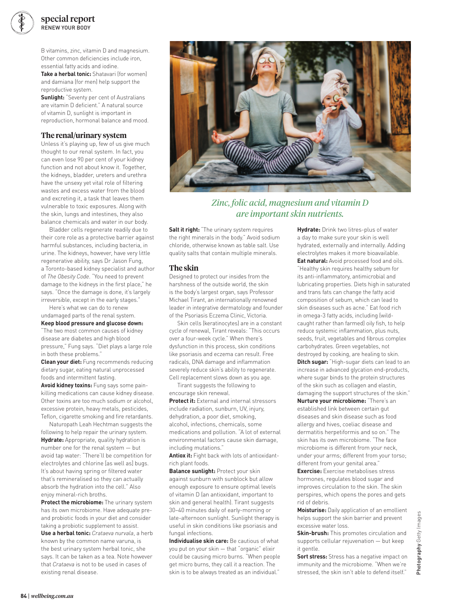

B vitamins, zinc, vitamin D and magnesium. Other common deficiencies include iron, essential fatty acids and iodine.

**Take a herbal tonic:** Shatavari (for women) and damiana (for men) help support the reproductive system.

**Sunlight:** "Seventy per cent of Australians are vitamin D deficient." A natural source of vitamin D, sunlight is important in reproduction, hormonal balance and mood.

#### **The renal/urinary system**

Unless it's playing up, few of us give much thought to our renal system. In fact, you can even lose 90 per cent of your kidney function and not about know it. Together, the kidneys, bladder, ureters and urethra have the unsexy yet vital role of filtering wastes and excess water from the blood and excreting it, a task that leaves them vulnerable to toxic exposures. Along with the skin, lungs and intestines, they also balance chemicals and water in our body.

Bladder cells regenerate readily due to their core role as a protective barrier against harmful substances, including bacteria, in urine. The kidneys, however, have very little regenerative ability, says Dr Jason Fung, a Toronto-based kidney specialist and author of *The Obesity Code*. "You need to prevent damage to the kidneys in the first place," he says. "Once the damage is done, it's largely irreversible, except in the early stages."

Here's what we can do to renew undamaged parts of the renal system. **Keep blood pressure and glucose down:** 

"The two most common causes of kidney disease are diabetes and high blood pressure," Fung says. "Diet plays a large role in both these problems."

**Clean your diet:** Fung recommends reducing dietary sugar, eating natural unprocessed foods and intermittent fasting.

**Avoid kidney toxins:** Fung says some painkilling medications can cause kidney disease. Other toxins are too much sodium or alcohol, excessive protein, heavy metals, pesticides, Teflon, cigarette smoking and fire retardants.

Naturopath Leah Hechtman suggests the following to help repair the urinary system. **Hydrate:** Appropriate, quality hydration is number one for the renal system — but avoid tap water: "There'll be competition for electrolytes and chlorine [as well as] bugs. It's about having spring or filtered water that's remineralised so they can actually absorb the hydration into the cell." Also enjoy mineral-rich broths.

**Protect the microbiome:** The urinary system has its own microbiome. Have adequate preand probiotic foods in your diet and consider taking a probiotic supplement to assist.

**Use a herbal tonic:** *Crataeva nurvala*, a herb known by the common name varuna, is the best urinary system herbal tonic, she says. It can be taken as a tea. Note however that *Crataeva* is not to be used in cases of existing renal disease.



*Zinc, folic acid, magnesium and vitamin D are important skin nutrients.*

**Salt it right:** "The urinary system requires the right minerals in the body." Avoid sodium chloride, otherwise known as table salt. Use quality salts that contain multiple minerals.

#### **The skin**

Designed to protect our insides from the harshness of the outside world, the skin is the body's largest organ, says Professor Michael Tirant, an internationally renowned leader in integrative dermatology and founder of the Psoriasis Eczema Clinic, Victoria.

Skin cells (keratinocytes) are in a constant cycle of renewal, Tirant reveals: "This occurs over a four-week cycle." When there's dysfunction in this process, skin conditions like psoriasis and eczema can result. Free radicals, DNA damage and inflammation severely reduce skin's ability to regenerate. Cell replacement slows down as you age.

Tirant suggests the following to encourage skin renewal.

**Protect it:** External and internal stressors include radiation, sunburn, UV, injury, dehydration, a poor diet, smoking, alcohol, infections, chemicals, some medications and pollution. "A lot of external environmental factors cause skin damage, including mutations."

**Antiox it:** Fight back with lots of antioxidantrich plant foods.

**Balance sunlight: Protect your skin** against sunburn with sunblock but allow enough exposure to ensure optimal levels of vitamin D (an antioxidant, important to skin and general health). Tirant suggests 30–40 minutes daily of early-morning or late-afternoon sunlight. Sunlight therapy is useful in skin conditions like psoriasis and fungal infections.

**Individualise skin care:** Be cautious of what you put on your skin — that "organic" elixir could be causing micro burns. "When people get micro burns, they call it a reaction. The skin is to be always treated as an individual."

**Hydrate:** Drink two litres-plus of water a day to make sure your skin is well hydrated, externally and internally. Adding electrolytes makes it more bioavailable. **Eat natural:** Avoid processed food and oils. "Healthy skin requires healthy sebum for its anti-inflammatory, antimicrobial and lubricating properties. Diets high in saturated and trans fats can change the fatty acid composition of sebum, which can lead to skin diseases such as acne." Eat food rich in omega-3 fatty acids, including (wildcaught rather than farmed) oily fish, to help reduce systemic inflammation, plus nuts, seeds, fruit, vegetables and fibrous complex carbohydrates. Green vegetables, not destroyed by cooking, are healing to skin. **Ditch sugar:** "High-sugar diets can lead to an increase in advanced glycation end-products, where sugar binds to the protein structures of the skin such as collagen and elastin, damaging the support structures of the skin." **Nurture your microbiome:** "There's an established link between certain gut diseases and skin disease such as food allergy and hives, coeliac disease and dermatitis herpetiformis and so on." The skin has its own microbiome. "The face microbiome is different from your neck, under your arms; different from your torso; different from your genital area."

**Exercise:** Exercise metabolises stress hormones, regulates blood sugar and improves circulation to the skin. The skin perspires, which opens the pores and gets rid of debris.

**Moisturise:** Daily application of an emollient helps support the skin barrier and prevent excessive water loss.

**Skin-brush:** This promotes circulation and supports cellular rejuvenation — but keep it gentle.

**Sort stress:** Stress has a negative impact on immunity and the microbiome. "When we're stressed, the skin isn't able to defend itself."